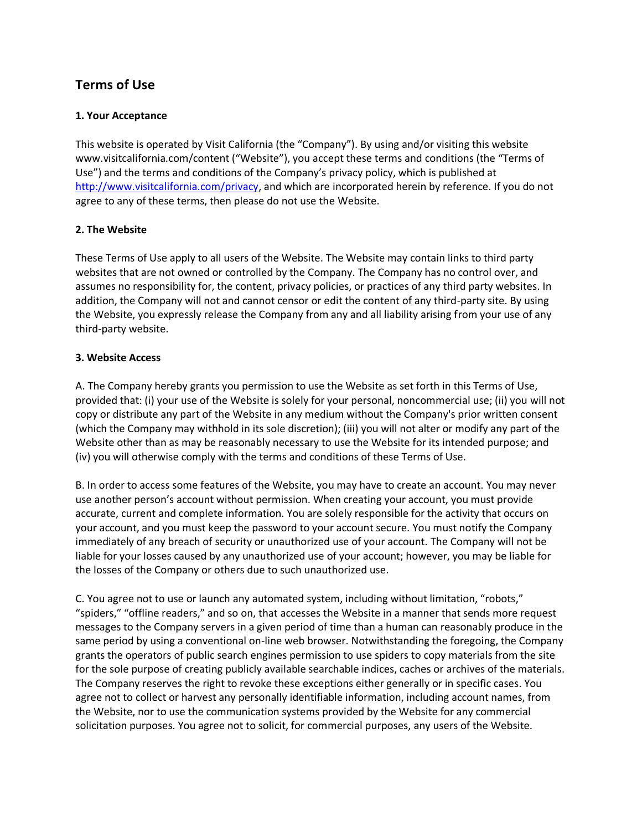# **Terms of Use**

# **1. Your Acceptance**

This website is operated by Visit California (the "Company"). By using and/or visiting this website www.visitcalifornia.com/content ("Website"), you accept these terms and conditions (the "Terms of Use") and the terms and conditions of the Company's privacy policy, which is published at [http://www.visitcalifornia.com/privacy,](http://www.visitcalifornia.com/privacy) and which are incorporated herein by reference. If you do not agree to any of these terms, then please do not use the Website.

# **2. The Website**

These Terms of Use apply to all users of the Website. The Website may contain links to third party websites that are not owned or controlled by the Company. The Company has no control over, and assumes no responsibility for, the content, privacy policies, or practices of any third party websites. In addition, the Company will not and cannot censor or edit the content of any third-party site. By using the Website, you expressly release the Company from any and all liability arising from your use of any third-party website.

# **3. Website Access**

A. The Company hereby grants you permission to use the Website as set forth in this Terms of Use, provided that: (i) your use of the Website is solely for your personal, noncommercial use; (ii) you will not copy or distribute any part of the Website in any medium without the Company's prior written consent (which the Company may withhold in its sole discretion); (iii) you will not alter or modify any part of the Website other than as may be reasonably necessary to use the Website for its intended purpose; and (iv) you will otherwise comply with the terms and conditions of these Terms of Use.

B. In order to access some features of the Website, you may have to create an account. You may never use another person's account without permission. When creating your account, you must provide accurate, current and complete information. You are solely responsible for the activity that occurs on your account, and you must keep the password to your account secure. You must notify the Company immediately of any breach of security or unauthorized use of your account. The Company will not be liable for your losses caused by any unauthorized use of your account; however, you may be liable for the losses of the Company or others due to such unauthorized use.

C. You agree not to use or launch any automated system, including without limitation, "robots," "spiders," "offline readers," and so on, that accesses the Website in a manner that sends more request messages to the Company servers in a given period of time than a human can reasonably produce in the same period by using a conventional on-line web browser. Notwithstanding the foregoing, the Company grants the operators of public search engines permission to use spiders to copy materials from the site for the sole purpose of creating publicly available searchable indices, caches or archives of the materials. The Company reserves the right to revoke these exceptions either generally or in specific cases. You agree not to collect or harvest any personally identifiable information, including account names, from the Website, nor to use the communication systems provided by the Website for any commercial solicitation purposes. You agree not to solicit, for commercial purposes, any users of the Website.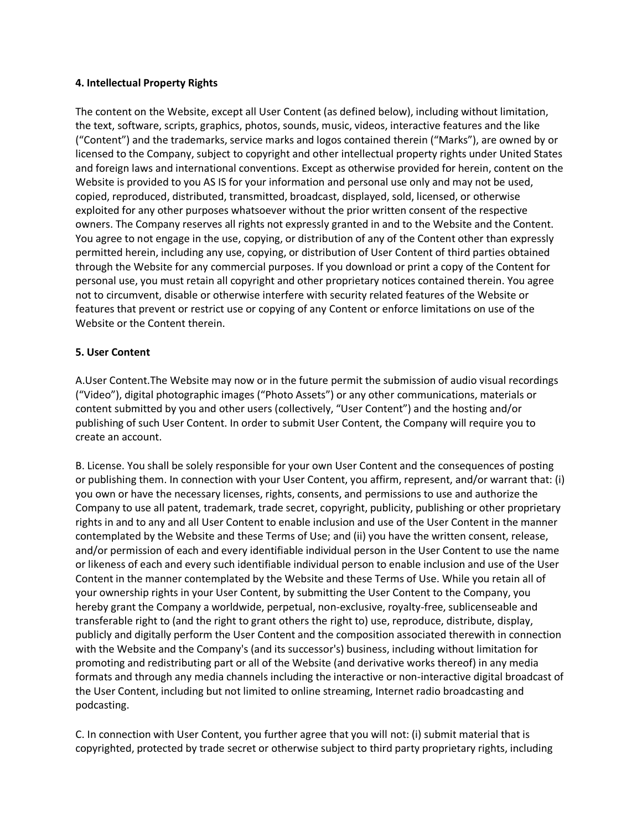### **4. Intellectual Property Rights**

The content on the Website, except all User Content (as defined below), including without limitation, the text, software, scripts, graphics, photos, sounds, music, videos, interactive features and the like ("Content") and the trademarks, service marks and logos contained therein ("Marks"), are owned by or licensed to the Company, subject to copyright and other intellectual property rights under United States and foreign laws and international conventions. Except as otherwise provided for herein, content on the Website is provided to you AS IS for your information and personal use only and may not be used, copied, reproduced, distributed, transmitted, broadcast, displayed, sold, licensed, or otherwise exploited for any other purposes whatsoever without the prior written consent of the respective owners. The Company reserves all rights not expressly granted in and to the Website and the Content. You agree to not engage in the use, copying, or distribution of any of the Content other than expressly permitted herein, including any use, copying, or distribution of User Content of third parties obtained through the Website for any commercial purposes. If you download or print a copy of the Content for personal use, you must retain all copyright and other proprietary notices contained therein. You agree not to circumvent, disable or otherwise interfere with security related features of the Website or features that prevent or restrict use or copying of any Content or enforce limitations on use of the Website or the Content therein.

#### **5. User Content**

A.User Content.The Website may now or in the future permit the submission of audio visual recordings ("Video"), digital photographic images ("Photo Assets") or any other communications, materials or content submitted by you and other users (collectively, "User Content") and the hosting and/or publishing of such User Content. In order to submit User Content, the Company will require you to create an account.

B. License. You shall be solely responsible for your own User Content and the consequences of posting or publishing them. In connection with your User Content, you affirm, represent, and/or warrant that: (i) you own or have the necessary licenses, rights, consents, and permissions to use and authorize the Company to use all patent, trademark, trade secret, copyright, publicity, publishing or other proprietary rights in and to any and all User Content to enable inclusion and use of the User Content in the manner contemplated by the Website and these Terms of Use; and (ii) you have the written consent, release, and/or permission of each and every identifiable individual person in the User Content to use the name or likeness of each and every such identifiable individual person to enable inclusion and use of the User Content in the manner contemplated by the Website and these Terms of Use. While you retain all of your ownership rights in your User Content, by submitting the User Content to the Company, you hereby grant the Company a worldwide, perpetual, non-exclusive, royalty-free, sublicenseable and transferable right to (and the right to grant others the right to) use, reproduce, distribute, display, publicly and digitally perform the User Content and the composition associated therewith in connection with the Website and the Company's (and its successor's) business, including without limitation for promoting and redistributing part or all of the Website (and derivative works thereof) in any media formats and through any media channels including the interactive or non-interactive digital broadcast of the User Content, including but not limited to online streaming, Internet radio broadcasting and podcasting.

C. In connection with User Content, you further agree that you will not: (i) submit material that is copyrighted, protected by trade secret or otherwise subject to third party proprietary rights, including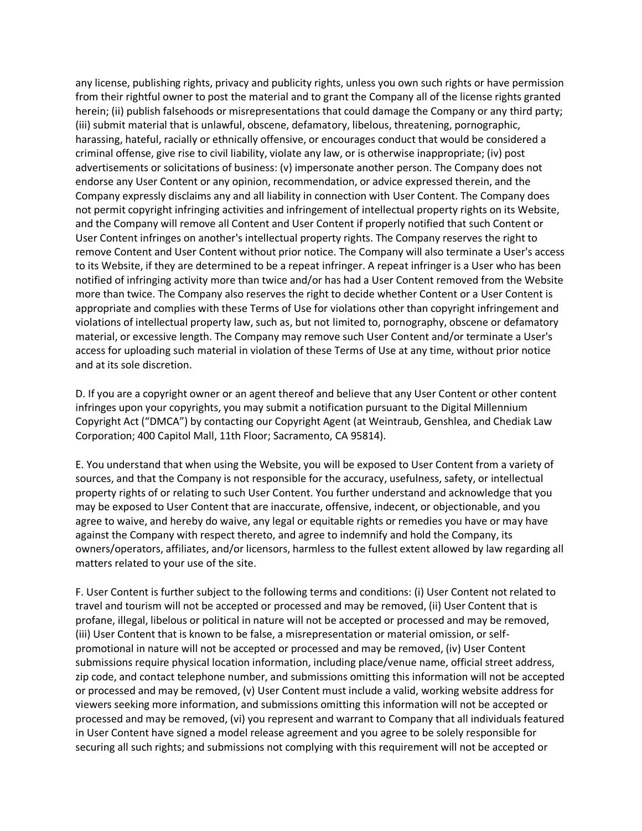any license, publishing rights, privacy and publicity rights, unless you own such rights or have permission from their rightful owner to post the material and to grant the Company all of the license rights granted herein; (ii) publish falsehoods or misrepresentations that could damage the Company or any third party; (iii) submit material that is unlawful, obscene, defamatory, libelous, threatening, pornographic, harassing, hateful, racially or ethnically offensive, or encourages conduct that would be considered a criminal offense, give rise to civil liability, violate any law, or is otherwise inappropriate; (iv) post advertisements or solicitations of business: (v) impersonate another person. The Company does not endorse any User Content or any opinion, recommendation, or advice expressed therein, and the Company expressly disclaims any and all liability in connection with User Content. The Company does not permit copyright infringing activities and infringement of intellectual property rights on its Website, and the Company will remove all Content and User Content if properly notified that such Content or User Content infringes on another's intellectual property rights. The Company reserves the right to remove Content and User Content without prior notice. The Company will also terminate a User's access to its Website, if they are determined to be a repeat infringer. A repeat infringer is a User who has been notified of infringing activity more than twice and/or has had a User Content removed from the Website more than twice. The Company also reserves the right to decide whether Content or a User Content is appropriate and complies with these Terms of Use for violations other than copyright infringement and violations of intellectual property law, such as, but not limited to, pornography, obscene or defamatory material, or excessive length. The Company may remove such User Content and/or terminate a User's access for uploading such material in violation of these Terms of Use at any time, without prior notice and at its sole discretion.

D. If you are a copyright owner or an agent thereof and believe that any User Content or other content infringes upon your copyrights, you may submit a notification pursuant to the Digital Millennium Copyright Act ("DMCA") by contacting our Copyright Agent (at Weintraub, Genshlea, and Chediak Law Corporation; 400 Capitol Mall, 11th Floor; Sacramento, CA 95814).

E. You understand that when using the Website, you will be exposed to User Content from a variety of sources, and that the Company is not responsible for the accuracy, usefulness, safety, or intellectual property rights of or relating to such User Content. You further understand and acknowledge that you may be exposed to User Content that are inaccurate, offensive, indecent, or objectionable, and you agree to waive, and hereby do waive, any legal or equitable rights or remedies you have or may have against the Company with respect thereto, and agree to indemnify and hold the Company, its owners/operators, affiliates, and/or licensors, harmless to the fullest extent allowed by law regarding all matters related to your use of the site.

F. User Content is further subject to the following terms and conditions: (i) User Content not related to travel and tourism will not be accepted or processed and may be removed, (ii) User Content that is profane, illegal, libelous or political in nature will not be accepted or processed and may be removed, (iii) User Content that is known to be false, a misrepresentation or material omission, or selfpromotional in nature will not be accepted or processed and may be removed, (iv) User Content submissions require physical location information, including place/venue name, official street address, zip code, and contact telephone number, and submissions omitting this information will not be accepted or processed and may be removed, (v) User Content must include a valid, working website address for viewers seeking more information, and submissions omitting this information will not be accepted or processed and may be removed, (vi) you represent and warrant to Company that all individuals featured in User Content have signed a model release agreement and you agree to be solely responsible for securing all such rights; and submissions not complying with this requirement will not be accepted or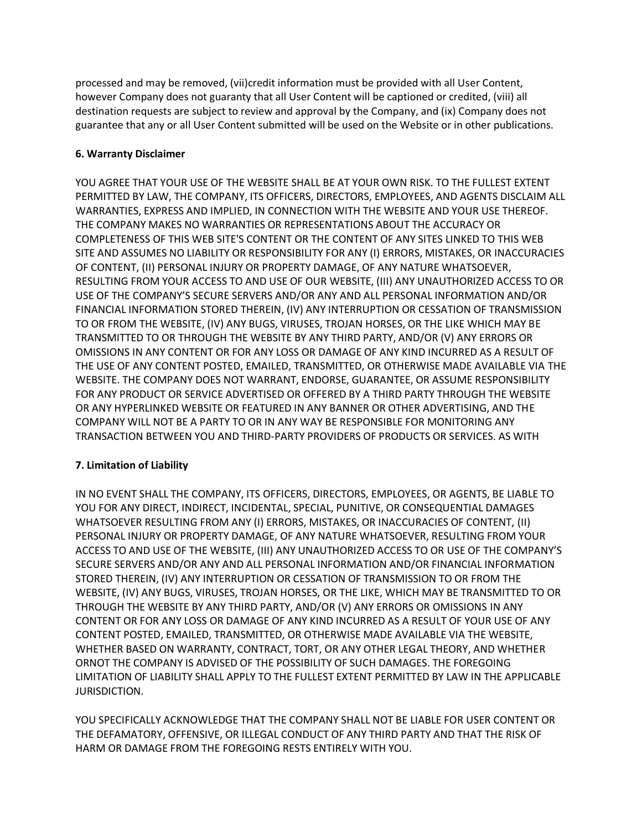processed and may be removed, (vii)credit information must be provided with all User Content, however Company does not guaranty that all User Content will be captioned or credited, (viii) all destination requests are subject to review and approval by the Company, and (ix) Company does not guarantee that any or all User Content submitted will be used on the Website or in other publications.

# **6. Warranty Disclaimer**

YOU AGREE THAT YOUR USE OF THE WEBSITE SHALL BE AT YOUR OWN RISK. TO THE FULLEST EXTENT PERMITTED BY LAW, THE COMPANY, ITS OFFICERS, DIRECTORS, EMPLOYEES, AND AGENTS DISCLAIM ALL WARRANTIES, EXPRESS AND IMPLIED, IN CONNECTION WITH THE WEBSITE AND YOUR USE THEREOF. THE COMPANY MAKES NO WARRANTIES OR REPRESENTATIONS ABOUT THE ACCURACY OR COMPLETENESS OF THIS WEB SITE'S CONTENT OR THE CONTENT OF ANY SITES LINKED TO THIS WEB SITE AND ASSUMES NO LIABILITY OR RESPONSIBILITY FOR ANY (I) ERRORS, MISTAKES, OR INACCURACIES OF CONTENT, (II) PERSONAL INJURY OR PROPERTY DAMAGE, OF ANY NATURE WHATSOEVER, RESULTING FROM YOUR ACCESS TO AND USE OF OUR WEBSITE, (III) ANY UNAUTHORIZED ACCESS TO OR USE OF THE COMPANY'S SECURE SERVERS AND/OR ANY AND ALL PERSONAL INFORMATION AND/OR FINANCIAL INFORMATION STORED THEREIN, (IV) ANY INTERRUPTION OR CESSATION OF TRANSMISSION TO OR FROM THE WEBSITE, (IV) ANY BUGS, VIRUSES, TROJAN HORSES, OR THE LIKE WHICH MAY BE TRANSMITTED TO OR THROUGH THE WEBSITE BY ANY THIRD PARTY, AND/OR (V) ANY ERRORS OR OMISSIONS IN ANY CONTENT OR FOR ANY LOSS OR DAMAGE OF ANY KIND INCURRED AS A RESULT OF THE USE OF ANY CONTENT POSTED, EMAILED, TRANSMITTED, OR OTHERWISE MADE AVAILABLE VIA THE WEBSITE. THE COMPANY DOES NOT WARRANT, ENDORSE, GUARANTEE, OR ASSUME RESPONSIBILITY FOR ANY PRODUCT OR SERVICE ADVERTISED OR OFFERED BY A THIRD PARTY THROUGH THE WEBSITE OR ANY HYPERLINKED WEBSITE OR FEATURED IN ANY BANNER OR OTHER ADVERTISING, AND THE COMPANY WILL NOT BE A PARTY TO OR IN ANY WAY BE RESPONSIBLE FOR MONITORING ANY TRANSACTION BETWEEN YOU AND THIRD-PARTY PROVIDERS OF PRODUCTS OR SERVICES. AS WITH

# **7. Limitation of Liability**

IN NO EVENT SHALL THE COMPANY, ITS OFFICERS, DIRECTORS, EMPLOYEES, OR AGENTS, BE LIABLE TO YOU FOR ANY DIRECT, INDIRECT, INCIDENTAL, SPECIAL, PUNITIVE, OR CONSEQUENTIAL DAMAGES WHATSOEVER RESULTING FROM ANY (I) ERRORS, MISTAKES, OR INACCURACIES OF CONTENT, (II) PERSONAL INJURY OR PROPERTY DAMAGE, OF ANY NATURE WHATSOEVER, RESULTING FROM YOUR ACCESS TO AND USE OF THE WEBSITE, (III) ANY UNAUTHORIZED ACCESS TO OR USE OF THE COMPANY'S SECURE SERVERS AND/OR ANY AND ALL PERSONAL INFORMATION AND/OR FINANCIAL INFORMATION STORED THEREIN, (IV) ANY INTERRUPTION OR CESSATION OF TRANSMISSION TO OR FROM THE WEBSITE, (IV) ANY BUGS, VIRUSES, TROJAN HORSES, OR THE LIKE, WHICH MAY BE TRANSMITTED TO OR THROUGH THE WEBSITE BY ANY THIRD PARTY, AND/OR (V) ANY ERRORS OR OMISSIONS IN ANY CONTENT OR FOR ANY LOSS OR DAMAGE OF ANY KIND INCURRED AS A RESULT OF YOUR USE OF ANY CONTENT POSTED, EMAILED, TRANSMITTED, OR OTHERWISE MADE AVAILABLE VIA THE WEBSITE, WHETHER BASED ON WARRANTY, CONTRACT, TORT, OR ANY OTHER LEGAL THEORY, AND WHETHER ORNOT THE COMPANY IS ADVISED OF THE POSSIBILITY OF SUCH DAMAGES. THE FOREGOING LIMITATION OF LIABILITY SHALL APPLY TO THE FULLEST EXTENT PERMITTED BY LAW IN THE APPLICABLE JURISDICTION.

YOU SPECIFICALLY ACKNOWLEDGE THAT THE COMPANY SHALL NOT BE LIABLE FOR USER CONTENT OR THE DEFAMATORY, OFFENSIVE, OR ILLEGAL CONDUCT OF ANY THIRD PARTY AND THAT THE RISK OF HARM OR DAMAGE FROM THE FOREGOING RESTS ENTIRELY WITH YOU.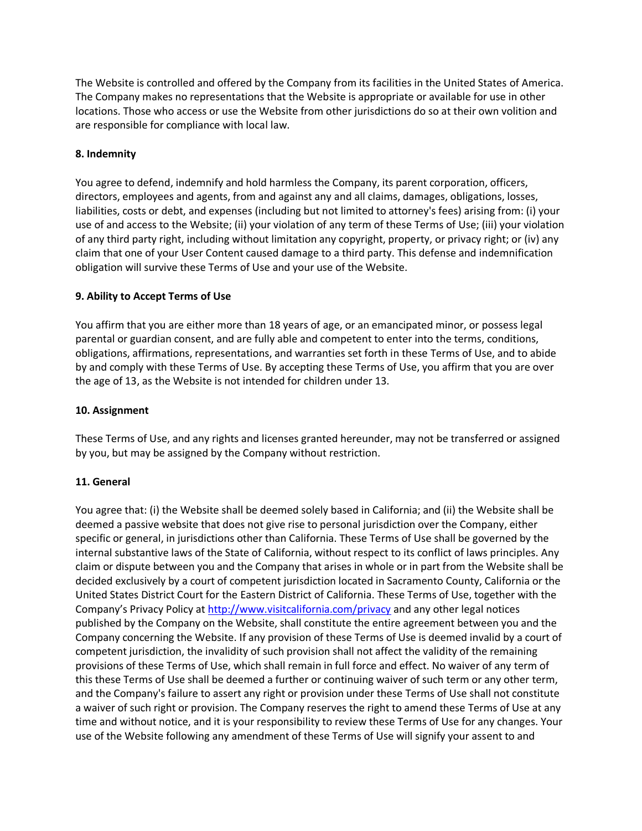The Website is controlled and offered by the Company from its facilities in the United States of America. The Company makes no representations that the Website is appropriate or available for use in other locations. Those who access or use the Website from other jurisdictions do so at their own volition and are responsible for compliance with local law.

### **8. Indemnity**

You agree to defend, indemnify and hold harmless the Company, its parent corporation, officers, directors, employees and agents, from and against any and all claims, damages, obligations, losses, liabilities, costs or debt, and expenses (including but not limited to attorney's fees) arising from: (i) your use of and access to the Website; (ii) your violation of any term of these Terms of Use; (iii) your violation of any third party right, including without limitation any copyright, property, or privacy right; or (iv) any claim that one of your User Content caused damage to a third party. This defense and indemnification obligation will survive these Terms of Use and your use of the Website.

### **9. Ability to Accept Terms of Use**

You affirm that you are either more than 18 years of age, or an emancipated minor, or possess legal parental or guardian consent, and are fully able and competent to enter into the terms, conditions, obligations, affirmations, representations, and warranties set forth in these Terms of Use, and to abide by and comply with these Terms of Use. By accepting these Terms of Use, you affirm that you are over the age of 13, as the Website is not intended for children under 13.

### **10. Assignment**

These Terms of Use, and any rights and licenses granted hereunder, may not be transferred or assigned by you, but may be assigned by the Company without restriction.

### **11. General**

You agree that: (i) the Website shall be deemed solely based in California; and (ii) the Website shall be deemed a passive website that does not give rise to personal jurisdiction over the Company, either specific or general, in jurisdictions other than California. These Terms of Use shall be governed by the internal substantive laws of the State of California, without respect to its conflict of laws principles. Any claim or dispute between you and the Company that arises in whole or in part from the Website shall be decided exclusively by a court of competent jurisdiction located in Sacramento County, California or the United States District Court for the Eastern District of California. These Terms of Use, together with the Company's Privacy Policy at <http://www.visitcalifornia.com/privacy> and any other legal notices published by the Company on the Website, shall constitute the entire agreement between you and the Company concerning the Website. If any provision of these Terms of Use is deemed invalid by a court of competent jurisdiction, the invalidity of such provision shall not affect the validity of the remaining provisions of these Terms of Use, which shall remain in full force and effect. No waiver of any term of this these Terms of Use shall be deemed a further or continuing waiver of such term or any other term, and the Company's failure to assert any right or provision under these Terms of Use shall not constitute a waiver of such right or provision. The Company reserves the right to amend these Terms of Use at any time and without notice, and it is your responsibility to review these Terms of Use for any changes. Your use of the Website following any amendment of these Terms of Use will signify your assent to and